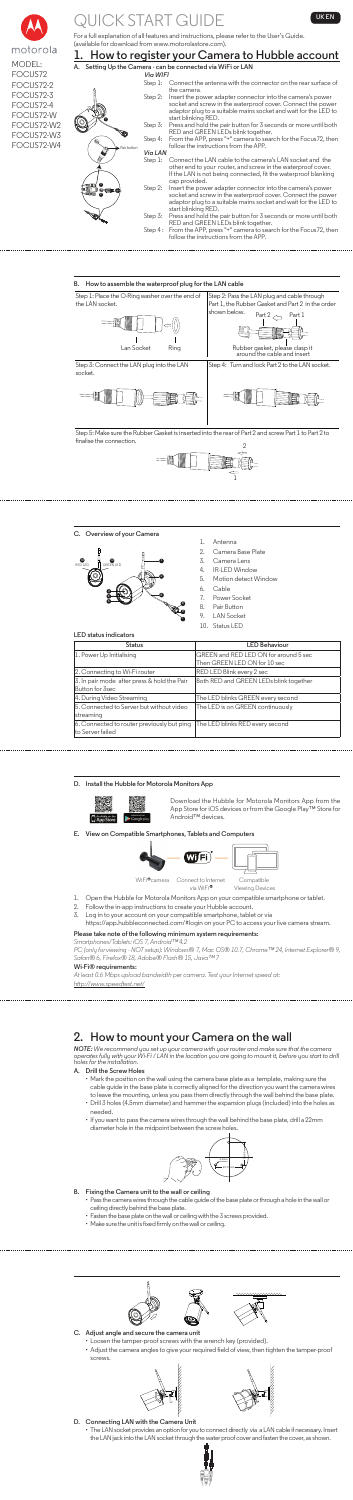

# **JICK START GUIDE THE LIGHT CONTROL**

MODEL: FOCUS72 FOCUS72-2 FOCUS72-3 FOCUS72-4 FOCUS72-W FOCUS72-W2 FOCUS72-W3 FOCUS72-W4

For a full explanation of all features and instructions, please refer to the User's Guide. (available for download from www.motorolastore.com).

| 1. How to register your Camera to Hubble account |                                                                                                                                                                                                                     |  |
|--------------------------------------------------|---------------------------------------------------------------------------------------------------------------------------------------------------------------------------------------------------------------------|--|
|                                                  | A. Setting Up the Camera - can be connected via WiFi or LAN                                                                                                                                                         |  |
|                                                  | Via WIFI                                                                                                                                                                                                            |  |
| Step 1:                                          | Connect the antenna with the connector on the rear surface of<br>the camera                                                                                                                                         |  |
| Step 2:                                          | Insert the power adapter connector into the camera's power<br>socket and screw in the waterproof cover. Connect the power<br>adaptor plug to a suitable mains socket and wait for the LED to<br>start blinking RED. |  |
| Step 3:                                          | Press and hold the pair button for 3 seconds or more until both<br>RED and GREEN LEDs blink together.                                                                                                               |  |
| Step 4:<br>- Pair button                         | From the APP, press "+" camera to search for the Focus72, then<br>follow the instructions from the APP.                                                                                                             |  |
| Via LAN                                          |                                                                                                                                                                                                                     |  |
| Step 1:                                          | Connect the LAN cable to the camera's LAN socket and the<br>other end to your router, and screw in the waterproof cover.<br>If the LAN is not being connected, fit the waterproof blanking<br>cap provided.         |  |
| Step 2:<br>an Ein<br>മ                           | Insert the power adapter connector into the camera's power<br>socket and screw in the waterproof cover. Connect the power<br>adaptor plug to a suitable mains socket and wait for the LED to<br>start blinking RED. |  |
| Step 3:                                          | Press and hold the pair button for 3 seconds or more until both<br>RED and GREEN LEDs blink together.                                                                                                               |  |
| Step 4 :                                         | From the APP, press "+" camera to search for the Focus72, then<br>follow the instructions from the APP.                                                                                                             |  |

Step 5: Make sure the Rubber Gasket is inserted into the rear of Part 2 and screw Part 1 to Part 2 to finalise the connection.  $\overline{2}$ 

#### **B. How to assemble the waterproof plug for the LAN cable**

- via WiFi<sup>®</sup> 1. Open the Hubble for Motorola Monitors App on your compatible smartphone or tablet.
- 2. Follow the in-app instructions to create your Hubble account.
- 3. Log in to your account on your compatible smartphone, tablet or via
	- https://app.hubbleconnected.com/#login on your PC to access your live camera stream.





**C. Overview of your Camera**

- 1. Antenna
- 2. Camera Base Plate
- 3. Camera Lens
- 4. IR-LED Window
- 5. Motion detect Window
- 6. Cable
- 7. Power Socket
- 8. Pair Button
- 9. LAN Socket
- 10. Status LED

**LED status indicators**

| <b>Status</b>                                                   | <b>LED Behaviour</b>                   |
|-----------------------------------------------------------------|----------------------------------------|
| 1. Power Up Initialising                                        | GREEN and RED LED ON for around 5 sec  |
|                                                                 | Then GREEN LED ON for 10 sec           |
| 2. Connecting to Wi-Fi router                                   | RED LED Blink every 2 sec              |
| 3. In pair mode after press & hold the Pair<br>Button for 3sec  | Both RED and GREEN LEDs blink together |
| 4. During Video Streaming                                       | The LED blinks GREEN every second      |
| 5. Connected to Server but without video<br>streaming           | The LED is on GREEN continuously       |
| 6. Connected to router previously but ping<br>lto Server failed | The LED blinks RED every second        |



**D. Install the Hubble for Motorola Monitors App**



Download the Hubble for Motorola Monitors App from the App Store for iOS devices or from the Google Play™ Store for Android™ devices.

**E. View on Compatible Smartphones, Tablets and Computers**



Viewing Devices

#### **Please take note of the following minimum system requirements:**

*Smartphones/Tablets: iOS 7, Android™4.2*

*PC (only for viewing - NOT setup): Windows® 7, Mac OS® 10.7, Chrome™ 24, Internet Explorer® 9, Safan® 6, Firefox® 18, Adobe® Flash® 15, Java™7*

#### **Wi-Fi® requirements:**

*At least 0.6 Mbps upload bandwidth per camera. Test your Internet speed at: http://www.speedtest.net/*

**2. How to mount your Camera on the wall**

*NOTE: We recommend you set up your camera with your router and make sure that the camera operates fully with your Wi-Fi / LAN in the location you are going to mount it, before you start to drill holes for the installation.*

#### **A. Drill the Screw Holes**

- Mark the position on the wall using the camera base plate as a template, making sure the cable guide in the base plate is correctly aligned for the direction you want the camera wires to leave the mounting, unless you pass them directly through the wall behind the base plate.
- Drill 3 holes (4.5mm diameter) and hammer the expansion plugs (included) into the holes as needed.
- If you want to pass the camera wires through the wall behind the base plate, drill a 22mm diameter hole in the midpoint between the screw holes.



#### **B. Fixing the Camera unit to the wall or ceiling**

- Pass the camera wires through the cable guide of the base plate or through a hole in the wall or ceiling directly behind the base plate.
	- Fasten the base plate on the wall or ceiling with the 3 screws provided.
	- Make sure the unit is fixed firmly on the wall or ceiling.







- **C. Adjust angle and secure the camera unit**
	- Loosen the tamper-proof screws with the wrench key (provided).
	- Adjust the camera angles to give your required field of view, then tighten the tamper-proof screws.





- **D. Connecting LAN with the Camera Unit** 
	- The LAN socket provides an option for you to connect directly via a LAN cable if necessary. Insert the LAN jack into the LAN socket through the water proof cover and fasten the cover, as shown.